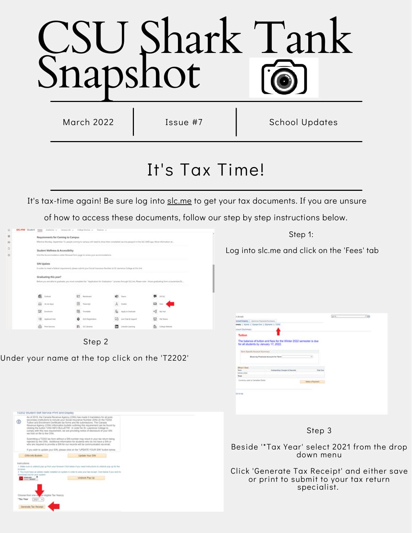# CSU Shark Tank Snapshot

March 2022 | Issue #7 | School Updates

## It's Tax Time!

It's tax-time again! Be sure log into [slc.me](https://stlawrencecollege.sharepoint.com/sites/slcmestudent) to get your tax documents. If you are unsure

of how to access these documents, follow our step by step instructions below.

|  | <b>PICTUS</b> 2010AU MAN          | Academics v Campus Life v College Services v Finances v                                                                                             |                             |                                                                                                                                                                   |                                                                                                              |  |  |  |  |
|--|-----------------------------------|-----------------------------------------------------------------------------------------------------------------------------------------------------|-----------------------------|-------------------------------------------------------------------------------------------------------------------------------------------------------------------|--------------------------------------------------------------------------------------------------------------|--|--|--|--|
|  | Requirements for Coming to Campus |                                                                                                                                                     |                             |                                                                                                                                                                   | Step 1:<br>Log into slc.me and click on the 'Fees' tab                                                       |  |  |  |  |
|  |                                   | Effective Monday, September 13, people coming to campus will need to show their completed vaccine passport in the SUC SARE app. More information at |                             |                                                                                                                                                                   |                                                                                                              |  |  |  |  |
|  | Student Wellness & Accessibility  |                                                                                                                                                     |                             |                                                                                                                                                                   |                                                                                                              |  |  |  |  |
|  |                                   | Visit the Accommodation Letter Renewal form page to renew your accommodations.                                                                      |                             |                                                                                                                                                                   |                                                                                                              |  |  |  |  |
|  | SIN Update                        |                                                                                                                                                     |                             |                                                                                                                                                                   |                                                                                                              |  |  |  |  |
|  |                                   | In order to meet a federal requirement, please submit your Social Insurance Number to St. Lewrence College at this link .                           |                             |                                                                                                                                                                   |                                                                                                              |  |  |  |  |
|  | Graduating this year?             |                                                                                                                                                     |                             |                                                                                                                                                                   |                                                                                                              |  |  |  |  |
|  |                                   |                                                                                                                                                     |                             | Before you are able to graduate, you must complete the " Application for Graduation " process through SLC.me. Please note - those graduating from a Laurentian/St |                                                                                                              |  |  |  |  |
|  |                                   |                                                                                                                                                     |                             |                                                                                                                                                                   |                                                                                                              |  |  |  |  |
|  | <b>B</b> Dutlook                  | 82<br>Blackboard                                                                                                                                    | <b>QS</b> from              | <b>B</b> use                                                                                                                                                      |                                                                                                              |  |  |  |  |
|  | EL KNEADS                         | 国<br>Transcript                                                                                                                                     | A Grates                    | $\Box$ for $\Box$                                                                                                                                                 |                                                                                                              |  |  |  |  |
|  | <b>Z</b> Indirect                 | 隐<br>Timetable                                                                                                                                      | Re Apply to Graduate        | of mine                                                                                                                                                           |                                                                                                              |  |  |  |  |
|  | <b>Fill</b> Applicant Hub         | O DUO Registration                                                                                                                                  | <b>CO</b> Uve Out & Support | $\Box$ firsten                                                                                                                                                    | pete.<br>of Arnett<br>coord legalry  Electroic Psymeth Purchases                                             |  |  |  |  |
|  | & PARSANUS                        | <b>III</b> succiones                                                                                                                                | District Learning           | <b>Ch</b> Colege Website                                                                                                                                          | meany   Adlvily   Gorges-Due   Exyments   T2312                                                              |  |  |  |  |
|  |                                   |                                                                                                                                                     |                             |                                                                                                                                                                   | stourt Summary                                                                                               |  |  |  |  |
|  |                                   |                                                                                                                                                     |                             |                                                                                                                                                                   | <b>Tuition</b>                                                                                               |  |  |  |  |
|  |                                   | Step 2                                                                                                                                              |                             |                                                                                                                                                                   | The balance of tuition and fees for the Winter 2022 semester is due<br>for all students by January 17, 2022. |  |  |  |  |



Under your name at the top click on the 'T2202'

Update Your S/N

for fit view your has recruit! (Tick half **UNION Pro Up** 

12202 Student Salt Service Print and Disk la of 2019, the

 $\Phi$ 

Step 3

Make a Payment

fic Account Bummary

Beside '\*Tax Year' select 2021 from the drop down menu

Click 'Generate Tax Receipt' and either save or print to submit to your tax return specialist.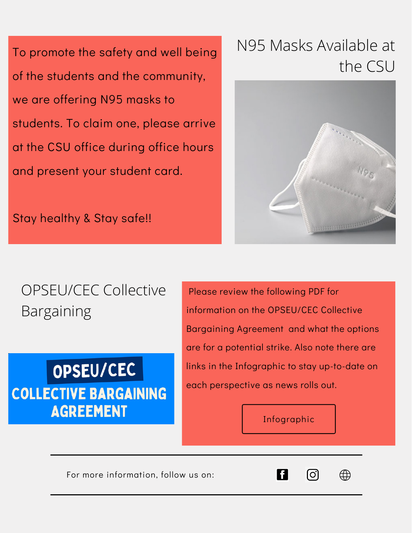To promote the safety and well being of the students and the community, we are offering N95 masks to students. To claim one, please arrive at the CSU office during office hours and present your student card.

### N95 Masks Available at the CSU



Stay healthy & Stay safe!!

## OPSEU/CEC Collective Bargaining

## OPSEU/CEC **COLLECTIVE BARGAINING AGREEMENT**

Please review the following PDF for information on the OPSEU/CEC Collective Bargaining Agreement and what the options are for a potential strike. Also note there are links in the Infographic to stay up-to-date on each perspective as news rolls out.

#### [Infographic](https://l.facebook.com/l.php?u=https%3A%2F%2Fwww.cornwallstudentunion.ca%2F_files%2Fugd%2Ff0de08_79ac588616174dabb31118c338906582.pdf%3Ffbclid%3DIwAR25Si0_kwatcllxgWjaj6hvbKQ5aVi8DIAx_cNjnGa8Qym8UfITlVkDF1E&h=AT1gpPxEg_5YYrfs1TK3ycSm1F9MQ70Deq6bVkmq4eg9--kQkImXf18udmyLHUAicekt4uq9hV2s7i3lIswr2UXlw2JrbnM8bBO2jkp5m15-rXc5O5yiqO8GEZYH6FvjBg&__tn__=-UK-R&c[0]=AT0jmZnf0Mk7jvVxXSzPB1QVbTMuwidtMt9TRmzun0v1GOnIfDdK4iWiBIOXannGBEWBXyzaLDnRs6dZ4X9Y75eN7EZBpPhQESM3TK6QxzSUV-nDgMZC6R7oRK7DXMo64FGiPB6rmpioTHkTV5PDvUhn5Sg)

For more information, follow us on:



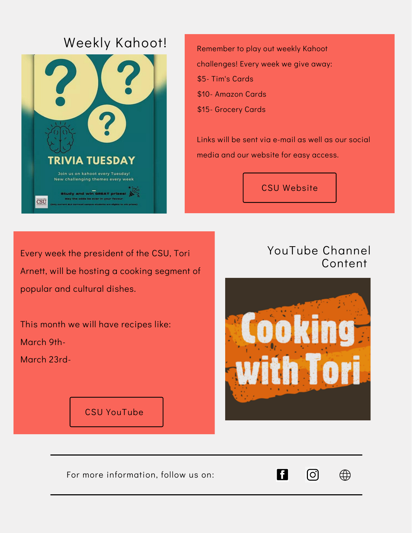### Weekly Kahoot!



Remember to play out weekly Kahoot challenges! Every week we give away: \$5- Tim's Cards \$10- Amazon Cards

\$15- Grocery Cards

Links will be sent via e-mail as well as our social media and our website for easy access.

CSU [Website](https://www.cornwallstudentunion.ca/)

Every week the president of the CSU, Tori Arnett, will be hosting a cooking segment of popular and cultural dishes.

This month we will have recipes like: March 9th-

March 23rd-

CSU [YouTube](https://www.cornwallstudentunion.ca/basic-01-1)

#### YouTube Channel Content



For more information, follow us on:



⊕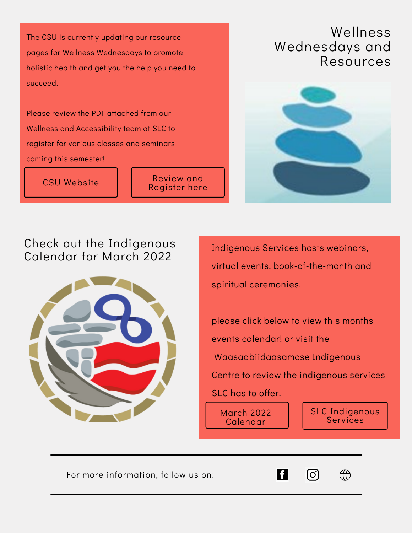The CSU is currently updating our resource pages for Wellness Wednesdays to promote holistic health and get you the help you need to succeed.

Please review the PDF attached from our Wellness and Accessibility team at SLC to register for various classes and seminars coming this semester!

CSU [Website](https://www.cornwallstudentunion.ca/)

Review and [Register](https://f5b262a2-e882-485a-a614-6c10997f4e49.filesusr.com/ugd/f0de08_c4323185dd9d4dda98bb97e91aacf1ba.pdf) here

#### Wellness Wednesdays and Resources



#### Check out the Indigenous Calendar for March 2022



Indigenous Services hosts webinars, virtual events, book-of-the-month and spiritual ceremonies.

please click below to view this months events calendar! or visit the Waasaabiidaasamose Indigenous Centre to review the indigenous services SLC has to offer.

[<del>o</del>

March 2022 [Calendar](https://www.canva.com/design/DAE5rXMigEA/edit)

SLC [Indigenous](https://www.cornwallstudentunion.ca/) Services

 $\bigoplus$ 

For more information, follow us on: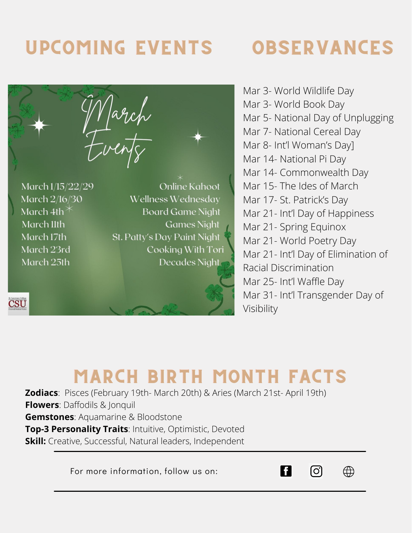## UPCOMING EVENTS

## OBSERVANCES

March 1/15/22/29 **Online Kahoot** March 2/16/30 Wellness Wednesday March 4th $*$ **Board Game Night Games Night** March llth St. Patty's Day Paint Night March 17th Cooking With Tori March 23rd Decades Night March 25th

**CSU** 

Mar 3- World Wildlife Day Mar 3- World Book Day Mar 5- National Day of Unplugging Mar 7- National Cereal Day Mar 8- Int'l Woman's Day] Mar 14- National Pi Day Mar 14- Commonwealth Day Mar 15- The Ides of March Mar 17- St. Patrick's Day Mar 21- Int'l Day of Happiness Mar 21- Spring Equinox Mar 21- World Poetry Day Mar 21- Int'l Day of Elimination of Racial Discrimination Mar 25- Int'l Waffle Day Mar 31- Int'l Transgender Day of Visibility

## MARCH BIRTH MONTH FACTS

**Zodiacs**: Pisces (February 19th- March 20th) & Aries (March 21st- April 19th) **Flowers**: Daffodils & Jonquil **Gemstones**: Aquamarine & Bloodstone **Top-3 Personality Traits**: Intuitive, Optimistic, Devoted **Skill:** Creative, Successful, Natural leaders, Independent

For more information, follow us on: